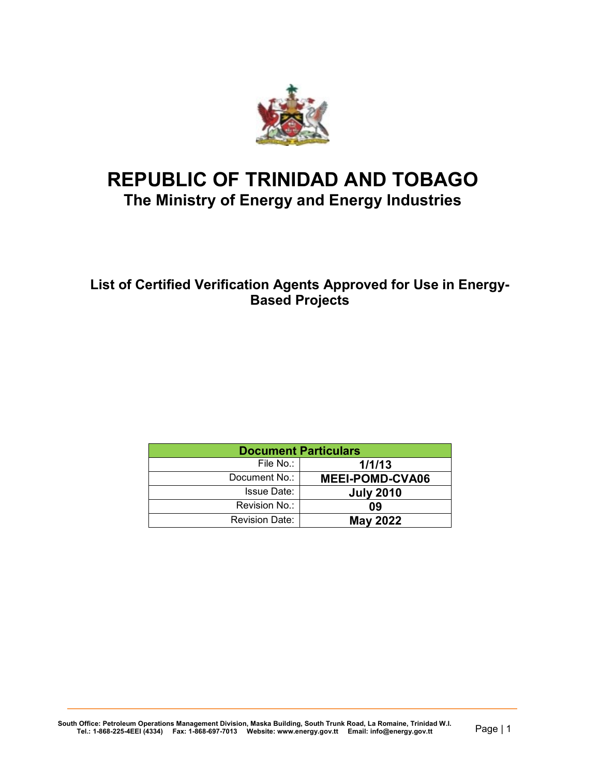

# **REPUBLIC OF TRINIDAD AND TOBAGO The Ministry of Energy and Energy Industries**

## **List of Certified Verification Agents Approved for Use in Energy-Based Projects**

| <b>Document Particulars</b> |                       |  |  |  |
|-----------------------------|-----------------------|--|--|--|
| 1/1/13                      | File No.:             |  |  |  |
| <b>MEEI-POMD-CVA06</b>      | Document No.:         |  |  |  |
| <b>July 2010</b>            | <b>Issue Date:</b>    |  |  |  |
| 09                          | Revision No.:         |  |  |  |
| <b>May 2022</b>             | <b>Revision Date:</b> |  |  |  |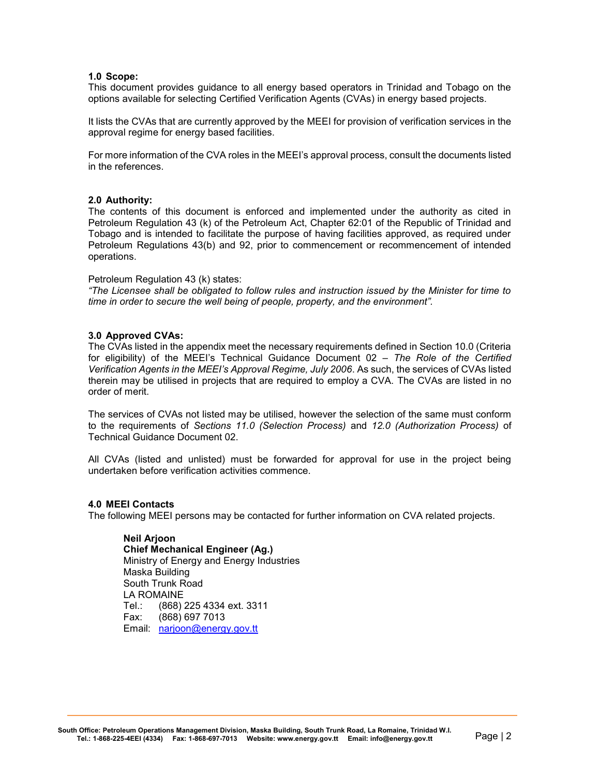#### **1.0 Scope:**

This document provides guidance to all energy based operators in Trinidad and Tobago on the options available for selecting Certified Verification Agents (CVAs) in energy based projects.

It lists the CVAs that are currently approved by the MEEI for provision of verification services in the approval regime for energy based facilities.

For more information of the CVA roles in the MEEI's approval process, consult the documents listed in the references.

#### **2.0 Authority:**

The contents of this document is enforced and implemented under the authority as cited in Petroleum Regulation 43 (k) of the Petroleum Act, Chapter 62:01 of the Republic of Trinidad and Tobago and is intended to facilitate the purpose of having facilities approved, as required under Petroleum Regulations 43(b) and 92, prior to commencement or recommencement of intended operations.

#### Petroleum Regulation 43 (k) states:

*"The Licensee shall be obligated to follow rules and instruction issued by the Minister for time to time in order to secure the well being of people, property, and the environment".*

#### **3.0 Approved CVAs:**

The CVAs listed in the appendix meet the necessary requirements defined in Section 10.0 (Criteria for eligibility) of the MEEI's Technical Guidance Document 02 *– The Role of the Certified Verification Agents in the MEEI's Approval Regime, July 2006*. As such, the services of CVAs listed therein may be utilised in projects that are required to employ a CVA. The CVAs are listed in no order of merit.

The services of CVAs not listed may be utilised, however the selection of the same must conform to the requirements of *Sections 11.0 (Selection Process)* and *12.0 (Authorization Process)* of Technical Guidance Document 02.

All CVAs (listed and unlisted) must be forwarded for approval for use in the project being undertaken before verification activities commence.

#### **4.0 MEEI Contacts**

The following MEEI persons may be contacted for further information on CVA related projects.

#### **Neil Arjoon**

**Chief Mechanical Engineer (Ag.)** Ministry of Energy and Energy Industries Maska Building South Trunk Road LA ROMAINE Tel.: (868) 225 4334 ext. 3311 Fax: (868) 697 7013 Email: [narjoon@energy.gov.tt](mailto:narjoon@energy.gov.tt)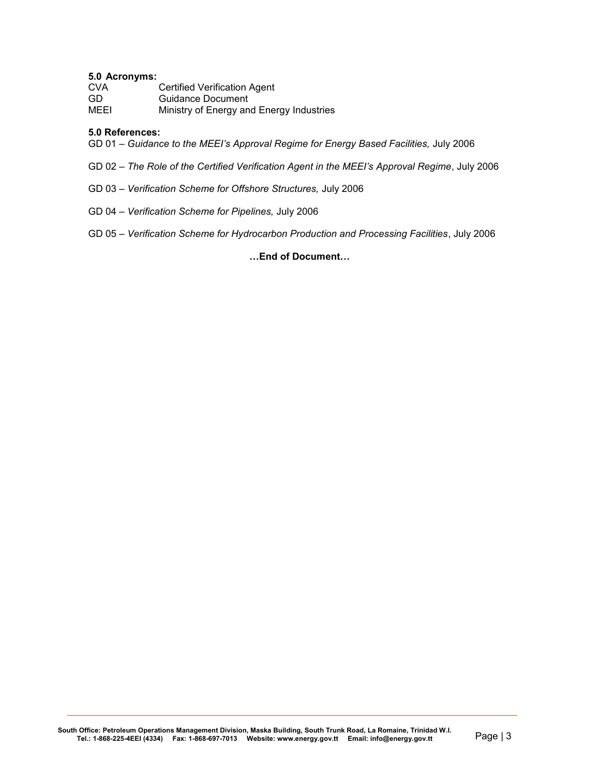#### **5.0 Acronyms:**

| <b>CVA</b> | <b>Certified Verification Agent</b>      |
|------------|------------------------------------------|
| GD.        | Guidance Document                        |
| MEEI       | Ministry of Energy and Energy Industries |

#### **5.0 References:**

GD 01 – *Guidance to the MEEI's Approval Regime for Energy Based Facilities,* July 2006

- GD 02 *The Role of the Certified Verification Agent in the MEEI's Approval Regime*, July 2006
- GD 03 *Verification Scheme for Offshore Structures,* July 2006
- GD 04 *Verification Scheme for Pipelines,* July 2006
- GD 05 *Verification Scheme for Hydrocarbon Production and Processing Facilities*, July 2006

#### **…End of Document…**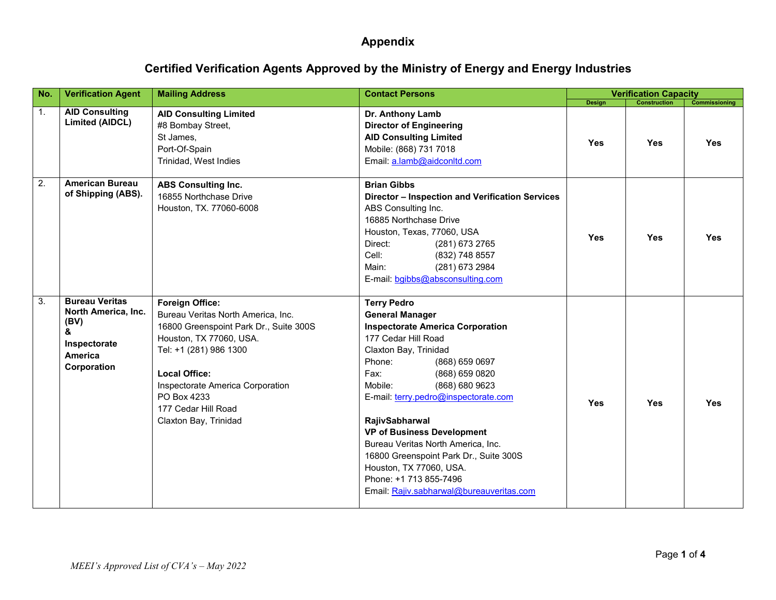# **Certified Verification Agents Approved by the Ministry of Energy and Energy Industries**

| No.              | <b>Verification Agent</b>                                                                                  | <b>Mailing Address</b>                                                                                                                                                                                                                                                                 | <b>Contact Persons</b>                                                                                                                                                                                                                                                                                                                                                                                                                                                                                     |            | <b>Verification Capacity</b> |               |
|------------------|------------------------------------------------------------------------------------------------------------|----------------------------------------------------------------------------------------------------------------------------------------------------------------------------------------------------------------------------------------------------------------------------------------|------------------------------------------------------------------------------------------------------------------------------------------------------------------------------------------------------------------------------------------------------------------------------------------------------------------------------------------------------------------------------------------------------------------------------------------------------------------------------------------------------------|------------|------------------------------|---------------|
|                  |                                                                                                            |                                                                                                                                                                                                                                                                                        |                                                                                                                                                                                                                                                                                                                                                                                                                                                                                                            | Design     | <b>Construction</b>          | Commissioning |
| 1.               | <b>AID Consulting</b><br><b>Limited (AIDCL)</b>                                                            | <b>AID Consulting Limited</b><br>#8 Bombay Street,<br>St James,<br>Port-Of-Spain<br>Trinidad, West Indies                                                                                                                                                                              | Dr. Anthony Lamb<br><b>Director of Engineering</b><br><b>AID Consulting Limited</b><br>Mobile: (868) 731 7018<br>Email: a.lamb@aidconltd.com                                                                                                                                                                                                                                                                                                                                                               | <b>Yes</b> | Yes                          | <b>Yes</b>    |
| $\overline{2}$ . | <b>American Bureau</b><br>of Shipping (ABS).                                                               | <b>ABS Consulting Inc.</b><br>16855 Northchase Drive<br>Houston, TX. 77060-6008                                                                                                                                                                                                        | <b>Brian Gibbs</b><br>Director - Inspection and Verification Services<br>ABS Consulting Inc.<br>16885 Northchase Drive<br>Houston, Texas, 77060, USA<br>Direct:<br>(281) 673 2765<br>Cell:<br>(832) 748 8557<br>(281) 673 2984<br>Main:<br>E-mail: bgibbs@absconsulting.com                                                                                                                                                                                                                                | <b>Yes</b> | <b>Yes</b>                   | Yes           |
| $\overline{3}$ . | <b>Bureau Veritas</b><br>North America, Inc.<br>(BV)<br>&<br>Inspectorate<br><b>America</b><br>Corporation | <b>Foreign Office:</b><br>Bureau Veritas North America, Inc.<br>16800 Greenspoint Park Dr., Suite 300S<br>Houston, TX 77060, USA.<br>Tel: +1 (281) 986 1300<br><b>Local Office:</b><br>Inspectorate America Corporation<br>PO Box 4233<br>177 Cedar Hill Road<br>Claxton Bay, Trinidad | <b>Terry Pedro</b><br><b>General Manager</b><br><b>Inspectorate America Corporation</b><br>177 Cedar Hill Road<br>Claxton Bay, Trinidad<br>Phone:<br>(868) 659 0697<br>Fax:<br>(868) 659 0820<br>(868) 680 9623<br>Mobile:<br>E-mail: terry.pedro@inspectorate.com<br>RajivSabharwal<br><b>VP of Business Development</b><br>Bureau Veritas North America, Inc.<br>16800 Greenspoint Park Dr., Suite 300S<br>Houston, TX 77060, USA.<br>Phone: +1 713 855-7496<br>Email: Rajiv.sabharwal@bureauveritas.com | Yes        | <b>Yes</b>                   | <b>Yes</b>    |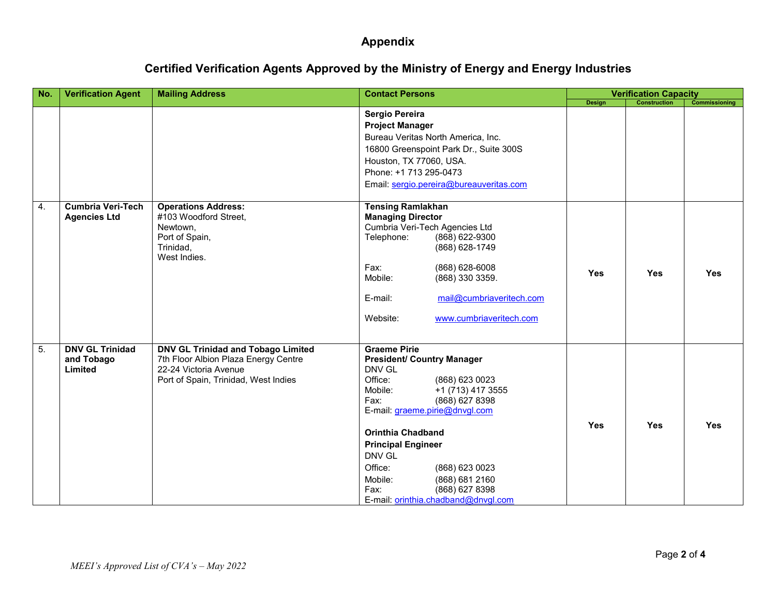# **Certified Verification Agents Approved by the Ministry of Energy and Energy Industries**

| No. | <b>Verification Agent</b>                       | <b>Mailing Address</b>                                                                                                                      | <b>Contact Persons</b>                                                                                                                                                                                                                                                                                                                                                                    |               | <b>Verification Capacity</b> |                      |
|-----|-------------------------------------------------|---------------------------------------------------------------------------------------------------------------------------------------------|-------------------------------------------------------------------------------------------------------------------------------------------------------------------------------------------------------------------------------------------------------------------------------------------------------------------------------------------------------------------------------------------|---------------|------------------------------|----------------------|
|     |                                                 |                                                                                                                                             |                                                                                                                                                                                                                                                                                                                                                                                           | <b>Design</b> | <b>Construction</b>          | <b>Commissioning</b> |
|     |                                                 |                                                                                                                                             | Sergio Pereira<br><b>Project Manager</b><br>Bureau Veritas North America, Inc.<br>16800 Greenspoint Park Dr., Suite 300S<br>Houston, TX 77060, USA.<br>Phone: +1 713 295-0473<br>Email: sergio.pereira@bureauveritas.com                                                                                                                                                                  |               |                              |                      |
| 4.  | <b>Cumbria Veri-Tech</b><br><b>Agencies Ltd</b> | <b>Operations Address:</b><br>#103 Woodford Street,<br>Newtown,<br>Port of Spain,<br>Trinidad,<br>West Indies.                              | <b>Tensing Ramlakhan</b><br><b>Managing Director</b><br>Cumbria Veri-Tech Agencies Ltd<br>Telephone:<br>(868) 622-9300<br>(868) 628-1749<br>Fax:<br>(868) 628-6008<br>Mobile:<br>(868) 330 3359.<br>mail@cumbriaveritech.com<br>E-mail:<br>Website:<br>www.cumbriaveritech.com                                                                                                            | <b>Yes</b>    | <b>Yes</b>                   | <b>Yes</b>           |
| 5.  | <b>DNV GL Trinidad</b><br>and Tobago<br>Limited | DNV GL Trinidad and Tobago Limited<br>7th Floor Albion Plaza Energy Centre<br>22-24 Victoria Avenue<br>Port of Spain, Trinidad, West Indies | <b>Graeme Pirie</b><br><b>President/ Country Manager</b><br>DNV GL<br>Office:<br>(868) 623 0023<br>Mobile:<br>+1 (713) 417 3555<br>(868) 627 8398<br>Fax:<br>E-mail: graeme.pirie@dnvgl.com<br><b>Orinthia Chadband</b><br><b>Principal Engineer</b><br>DNV GL<br>Office:<br>(868) 623 0023<br>Mobile:<br>(868) 681 2160<br>Fax:<br>(868) 627 8398<br>E-mail: orinthia.chadband@dnvgl.com | <b>Yes</b>    | <b>Yes</b>                   | <b>Yes</b>           |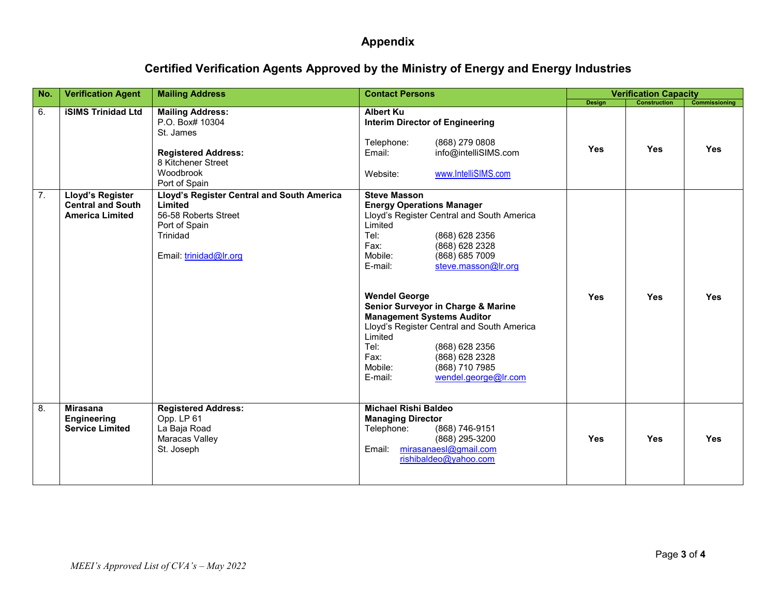# **Certified Verification Agents Approved by the Ministry of Energy and Energy Industries**

| No.              | <b>Verification Agent</b>                                              | <b>Mailing Address</b>                                                                                                                    | <b>Contact Persons</b>                                                                                                                                                                                                                                                                                                                                                                                                                                                                                              |               | <b>Verification Capacity</b> |                      |
|------------------|------------------------------------------------------------------------|-------------------------------------------------------------------------------------------------------------------------------------------|---------------------------------------------------------------------------------------------------------------------------------------------------------------------------------------------------------------------------------------------------------------------------------------------------------------------------------------------------------------------------------------------------------------------------------------------------------------------------------------------------------------------|---------------|------------------------------|----------------------|
|                  |                                                                        |                                                                                                                                           |                                                                                                                                                                                                                                                                                                                                                                                                                                                                                                                     | <b>Design</b> | <b>Construction</b>          | <b>Commissioning</b> |
| 6.               | <b>iSIMS Trinidad Ltd</b>                                              | <b>Mailing Address:</b><br>P.O. Box# 10304<br>St. James<br><b>Registered Address:</b><br>8 Kitchener Street<br>Woodbrook<br>Port of Spain | <b>Albert Ku</b><br><b>Interim Director of Engineering</b><br>(868) 279 0808<br>Telephone:<br>info@intelliSIMS.com<br>Email:<br>www.IntelliSIMS.com<br>Website:                                                                                                                                                                                                                                                                                                                                                     | <b>Yes</b>    | <b>Yes</b>                   | <b>Yes</b>           |
| $\overline{7}$ . | Lloyd's Register<br><b>Central and South</b><br><b>America Limited</b> | Lloyd's Register Central and South America<br>Limited<br>56-58 Roberts Street<br>Port of Spain<br>Trinidad<br>Email: trinidad@Ir.org      | <b>Steve Masson</b><br><b>Energy Operations Manager</b><br>Lloyd's Register Central and South America<br>Limited<br>Tel:<br>(868) 628 2356<br>(868) 628 2328<br>Fax:<br>Mobile:<br>(868) 685 7009<br>steve.masson@lr.org<br>E-mail:<br><b>Wendel George</b><br>Senior Surveyor in Charge & Marine<br><b>Management Systems Auditor</b><br>Lloyd's Register Central and South America<br>Limited<br>Tel:<br>(868) 628 2356<br>Fax:<br>(868) 628 2328<br>(868) 710 7985<br>Mobile:<br>wendel.george@lr.com<br>E-mail: | <b>Yes</b>    | <b>Yes</b>                   | <b>Yes</b>           |
| 8.               | <b>Mirasana</b><br><b>Engineering</b><br><b>Service Limited</b>        | <b>Registered Address:</b><br>Opp. LP 61<br>La Baja Road<br>Maracas Valley<br>St. Joseph                                                  | <b>Michael Rishi Baldeo</b><br><b>Managing Director</b><br>Telephone:<br>(868) 746-9151<br>(868) 295-3200<br>mirasanaesl@gmail.com<br>Email:<br>rishibaldeo@yahoo.com                                                                                                                                                                                                                                                                                                                                               | <b>Yes</b>    | <b>Yes</b>                   | <b>Yes</b>           |